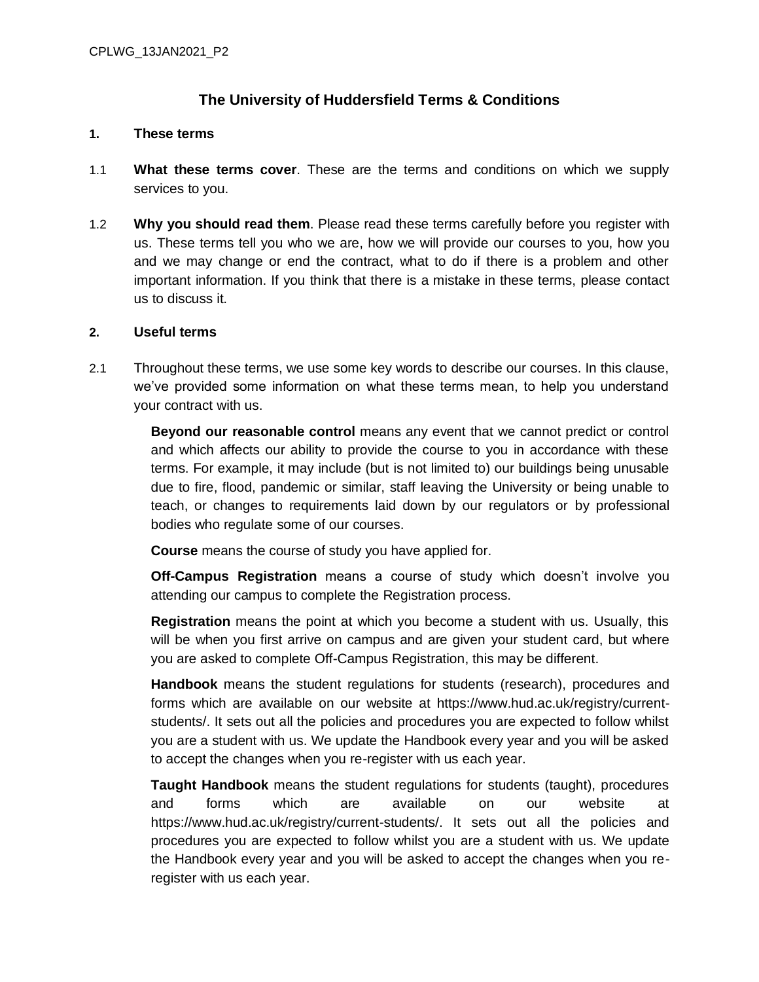# **The University of Huddersfield Terms & Conditions**

#### **1. These terms**

- 1.1 **What these terms cover**. These are the terms and conditions on which we supply services to you.
- 1.2 **Why you should read them**. Please read these terms carefully before you register with us. These terms tell you who we are, how we will provide our courses to you, how you and we may change or end the contract, what to do if there is a problem and other important information. If you think that there is a mistake in these terms, please contact us to discuss it.

### **2. Useful terms**

2.1 Throughout these terms, we use some key words to describe our courses. In this clause, we've provided some information on what these terms mean, to help you understand your contract with us.

> **Beyond our reasonable control** means any event that we cannot predict or control and which affects our ability to provide the course to you in accordance with these terms. For example, it may include (but is not limited to) our buildings being unusable due to fire, flood, pandemic or similar, staff leaving the University or being unable to teach, or changes to requirements laid down by our regulators or by professional bodies who regulate some of our courses.

**Course** means the course of study you have applied for.

**Off-Campus Registration** means a course of study which doesn't involve you attending our campus to complete the Registration process.

**Registration** means the point at which you become a student with us. Usually, this will be when you first arrive on campus and are given your student card, but where you are asked to complete Off-Campus Registration, this may be different.

**Handbook** means the student regulations for students (research), procedures and forms which are available on our website at https://www.hud.ac.uk/registry/currentstudents/. It sets out all the policies and procedures you are expected to follow whilst you are a student with us. We update the Handbook every year and you will be asked to accept the changes when you re-register with us each year.

**Taught Handbook** means the student regulations for students (taught), procedures and forms which are available on our website at https://www.hud.ac.uk/registry/current-students/. It sets out all the policies and procedures you are expected to follow whilst you are a student with us. We update the Handbook every year and you will be asked to accept the changes when you reregister with us each year.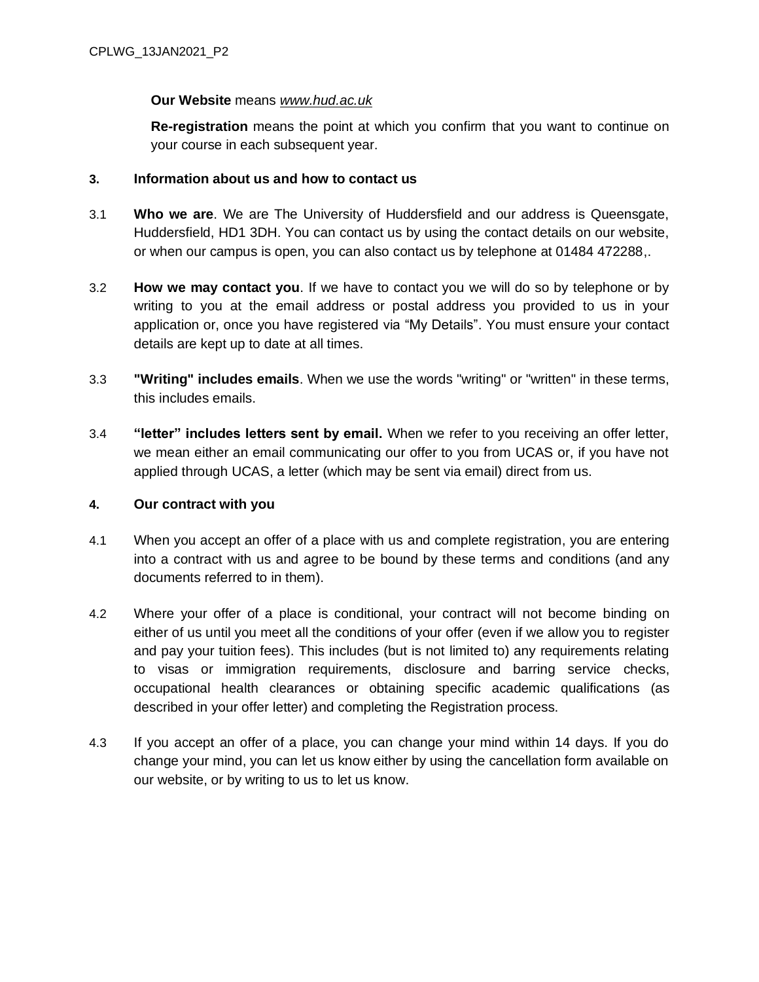### **Our Website** means *[www.hud.ac.uk](http://www.hud.ac.uk/)*

**Re-registration** means the point at which you confirm that you want to continue on your course in each subsequent year.

## **3. Information about us and how to contact us**

- 3.1 **Who we are**. We are The University of Huddersfield and our address is Queensgate, Huddersfield, HD1 3DH. You can contact us by using the contact details on our website, or when our campus is open, you can also contact us by telephone at 01484 472288,.
- 3.2 **How we may contact you**. If we have to contact you we will do so by telephone or by writing to you at the email address or postal address you provided to us in your application or, once you have registered via "My Details". You must ensure your contact details are kept up to date at all times.
- 3.3 **"Writing" includes emails**. When we use the words "writing" or "written" in these terms, this includes emails.
- 3.4 **"letter" includes letters sent by email.** When we refer to you receiving an offer letter, we mean either an email communicating our offer to you from UCAS or, if you have not applied through UCAS, a letter (which may be sent via email) direct from us.

### **4. Our contract with you**

- 4.1 When you accept an offer of a place with us and complete registration, you are entering into a contract with us and agree to be bound by these terms and conditions (and any documents referred to in them).
- 4.2 Where your offer of a place is conditional, your contract will not become binding on either of us until you meet all the conditions of your offer (even if we allow you to register and pay your tuition fees). This includes (but is not limited to) any requirements relating to visas or immigration requirements, disclosure and barring service checks, occupational health clearances or obtaining specific academic qualifications (as described in your offer letter) and completing the Registration process.
- 4.3 If you accept an offer of a place, you can change your mind within 14 days. If you do change your mind, you can let us know either by using the cancellation form available on our website, or by writing to us to let us know.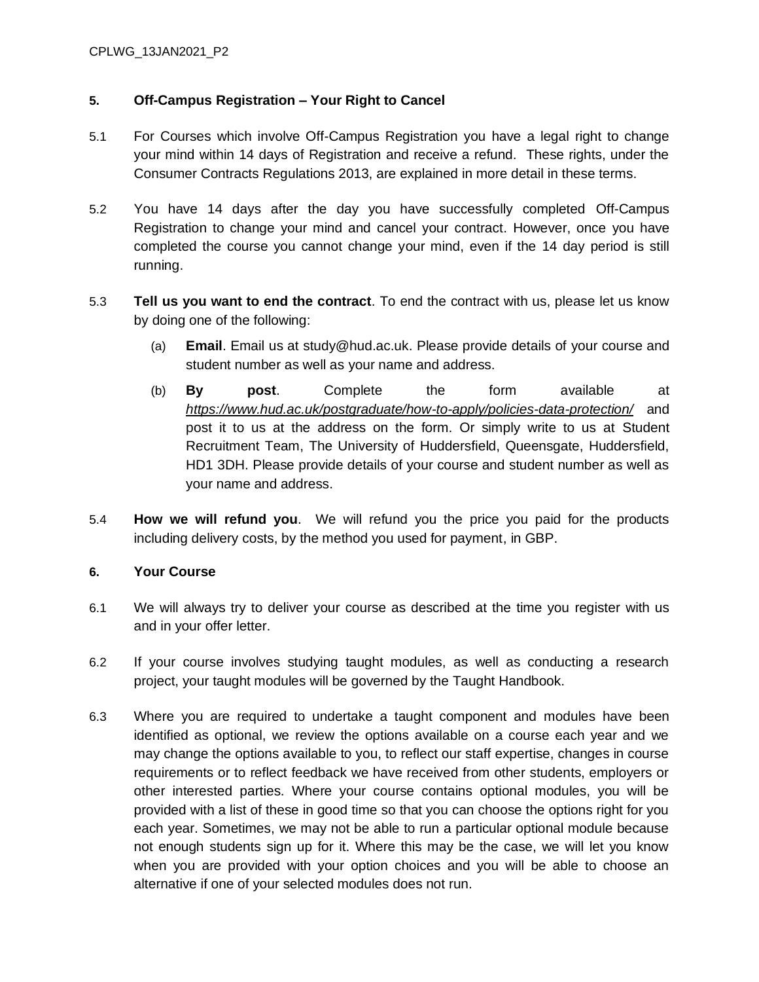### CPLWG\_13JAN2021\_P2

### **5. Off-Campus Registration – Your Right to Cancel**

- 5.1 For Courses which involve Off-Campus Registration you have a legal right to change your mind within 14 days of Registration and receive a refund. These rights, under the Consumer Contracts Regulations 2013, are explained in more detail in these terms.
- 5.2 You have 14 days after the day you have successfully completed Off-Campus Registration to change your mind and cancel your contract. However, once you have completed the course you cannot change your mind, even if the 14 day period is still running.
- 5.3 **Tell us you want to end the contract**. To end the contract with us, please let us know by doing one of the following:
	- (a) **Email**. Email us at study@hud.ac.uk. Please provide details of your course and student number as well as your name and address.
	- (b) **By post**. Complete the form available at *<https://www.hud.ac.uk/postgraduate/how-to-apply/policies-data-protection/>* and post it to us at the address on the form. Or simply write to us at Student Recruitment Team, The University of Huddersfield, Queensgate, Huddersfield, HD1 3DH. Please provide details of your course and student number as well as your name and address.
- 5.4 **How we will refund you**. We will refund you the price you paid for the products including delivery costs, by the method you used for payment, in GBP.

### **6. Your Course**

- 6.1 We will always try to deliver your course as described at the time you register with us and in your offer letter.
- 6.2 If your course involves studying taught modules, as well as conducting a research project, your taught modules will be governed by the Taught Handbook.
- 6.3 Where you are required to undertake a taught component and modules have been identified as optional, we review the options available on a course each year and we may change the options available to you, to reflect our staff expertise, changes in course requirements or to reflect feedback we have received from other students, employers or other interested parties. Where your course contains optional modules, you will be provided with a list of these in good time so that you can choose the options right for you each year. Sometimes, we may not be able to run a particular optional module because not enough students sign up for it. Where this may be the case, we will let you know when you are provided with your option choices and you will be able to choose an alternative if one of your selected modules does not run.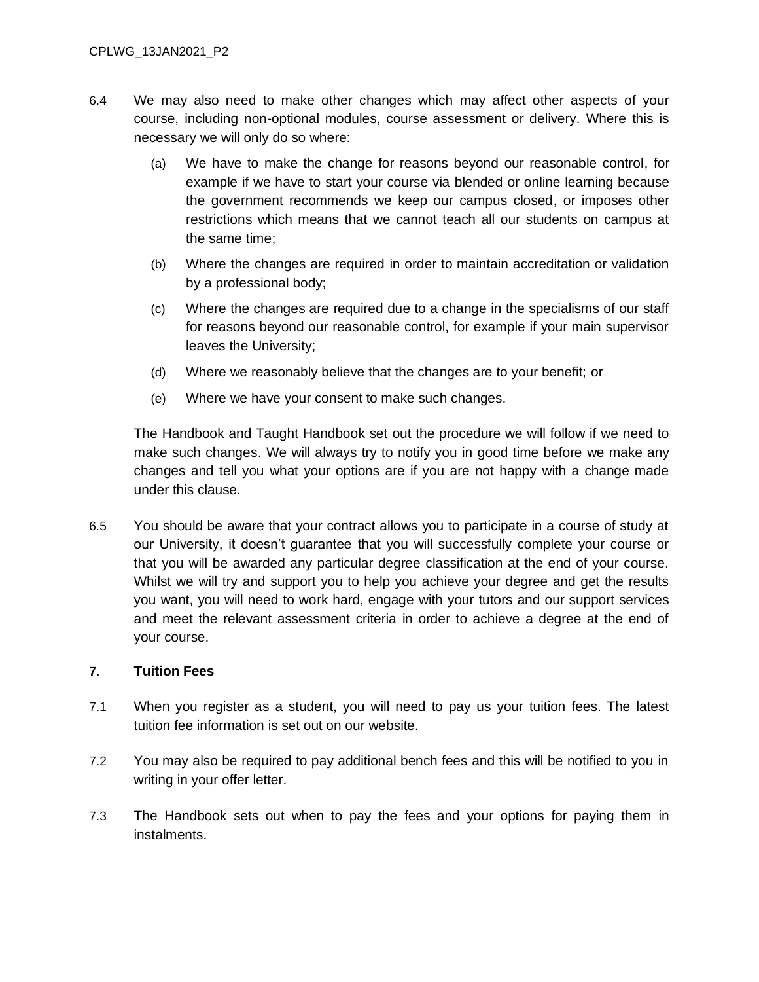- 6.4 We may also need to make other changes which may affect other aspects of your course, including non-optional modules, course assessment or delivery. Where this is necessary we will only do so where:
	- (a) We have to make the change for reasons beyond our reasonable control, for example if we have to start your course via blended or online learning because the government recommends we keep our campus closed, or imposes other restrictions which means that we cannot teach all our students on campus at the same time;
	- (b) Where the changes are required in order to maintain accreditation or validation by a professional body;
	- (c) Where the changes are required due to a change in the specialisms of our staff for reasons beyond our reasonable control, for example if your main supervisor leaves the University;
	- (d) Where we reasonably believe that the changes are to your benefit; or
	- (e) Where we have your consent to make such changes.

The Handbook and Taught Handbook set out the procedure we will follow if we need to make such changes. We will always try to notify you in good time before we make any changes and tell you what your options are if you are not happy with a change made under this clause.

6.5 You should be aware that your contract allows you to participate in a course of study at our University, it doesn't guarantee that you will successfully complete your course or that you will be awarded any particular degree classification at the end of your course. Whilst we will try and support you to help you achieve your degree and get the results you want, you will need to work hard, engage with your tutors and our support services and meet the relevant assessment criteria in order to achieve a degree at the end of your course.

#### **7. Tuition Fees**

- 7.1 When you register as a student, you will need to pay us your tuition fees. The latest tuition fee information is set out on our website.
- 7.2 You may also be required to pay additional bench fees and this will be notified to you in writing in your offer letter.
- 7.3 The Handbook sets out when to pay the fees and your options for paying them in instalments.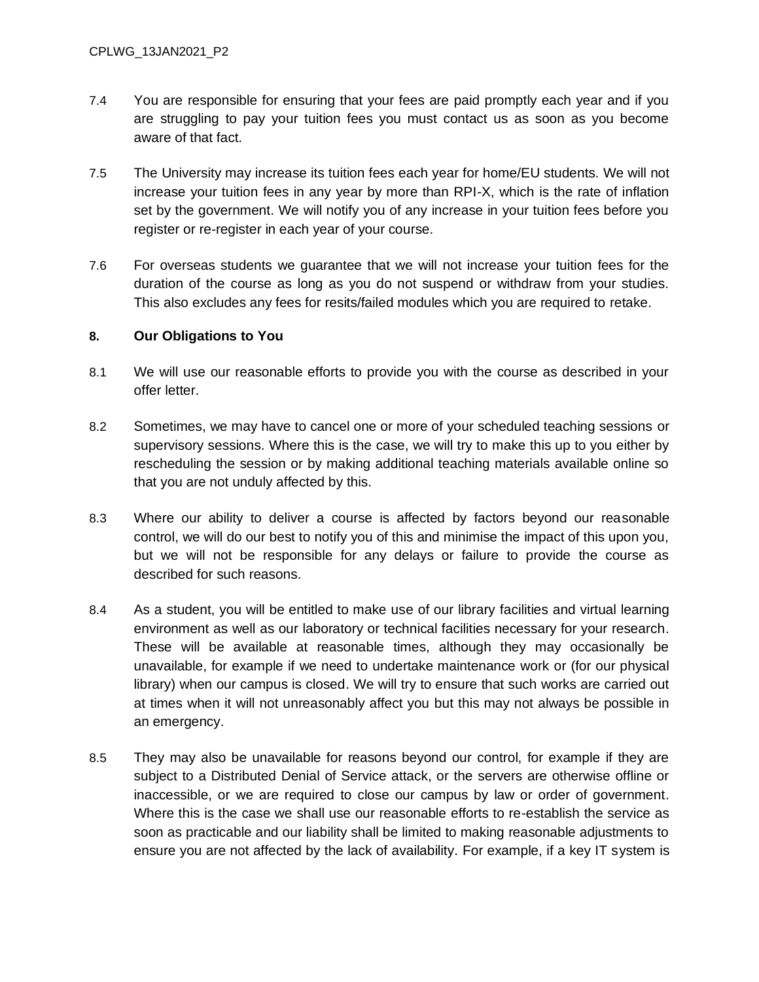- 7.4 You are responsible for ensuring that your fees are paid promptly each year and if you are struggling to pay your tuition fees you must contact us as soon as you become aware of that fact.
- 7.5 The University may increase its tuition fees each year for home/EU students. We will not increase your tuition fees in any year by more than RPI-X, which is the rate of inflation set by the government. We will notify you of any increase in your tuition fees before you register or re-register in each year of your course.
- 7.6 For overseas students we guarantee that we will not increase your tuition fees for the duration of the course as long as you do not suspend or withdraw from your studies. This also excludes any fees for resits/failed modules which you are required to retake.

#### **8. Our Obligations to You**

- 8.1 We will use our reasonable efforts to provide you with the course as described in your offer letter.
- 8.2 Sometimes, we may have to cancel one or more of your scheduled teaching sessions or supervisory sessions. Where this is the case, we will try to make this up to you either by rescheduling the session or by making additional teaching materials available online so that you are not unduly affected by this.
- 8.3 Where our ability to deliver a course is affected by factors beyond our reasonable control, we will do our best to notify you of this and minimise the impact of this upon you, but we will not be responsible for any delays or failure to provide the course as described for such reasons.
- 8.4 As a student, you will be entitled to make use of our library facilities and virtual learning environment as well as our laboratory or technical facilities necessary for your research. These will be available at reasonable times, although they may occasionally be unavailable, for example if we need to undertake maintenance work or (for our physical library) when our campus is closed. We will try to ensure that such works are carried out at times when it will not unreasonably affect you but this may not always be possible in an emergency.
- 8.5 They may also be unavailable for reasons beyond our control, for example if they are subject to a Distributed Denial of Service attack, or the servers are otherwise offline or inaccessible, or we are required to close our campus by law or order of government. Where this is the case we shall use our reasonable efforts to re-establish the service as soon as practicable and our liability shall be limited to making reasonable adjustments to ensure you are not affected by the lack of availability. For example, if a key IT system is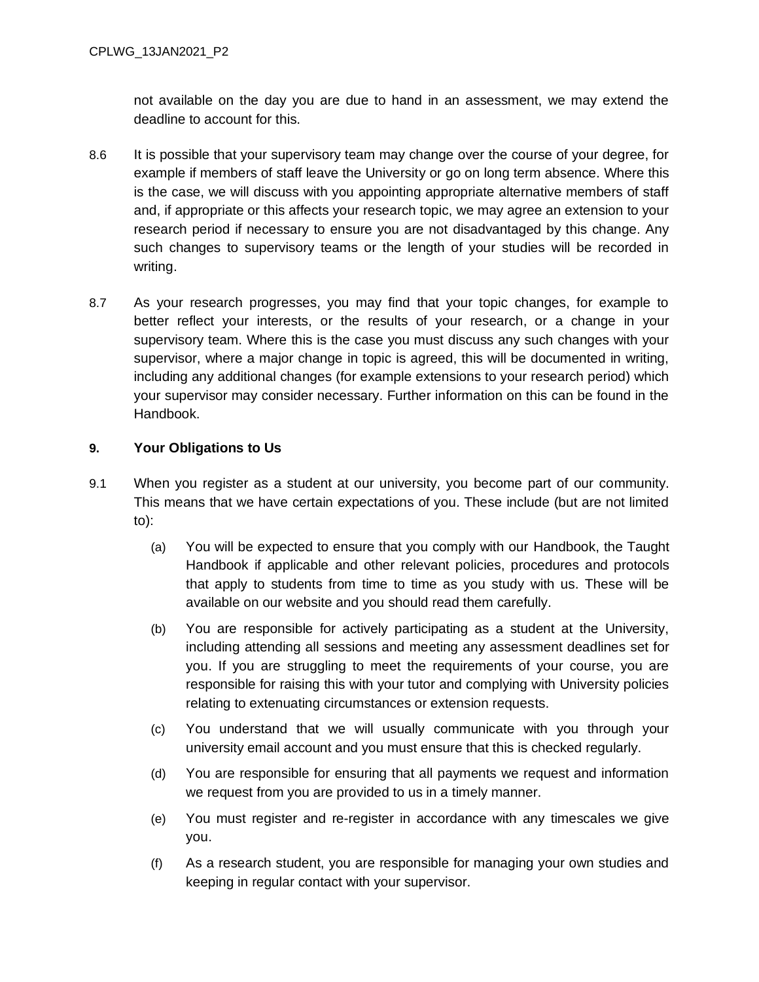not available on the day you are due to hand in an assessment, we may extend the deadline to account for this.

- 8.6 It is possible that your supervisory team may change over the course of your degree, for example if members of staff leave the University or go on long term absence. Where this is the case, we will discuss with you appointing appropriate alternative members of staff and, if appropriate or this affects your research topic, we may agree an extension to your research period if necessary to ensure you are not disadvantaged by this change. Any such changes to supervisory teams or the length of your studies will be recorded in writing.
- 8.7 As your research progresses, you may find that your topic changes, for example to better reflect your interests, or the results of your research, or a change in your supervisory team. Where this is the case you must discuss any such changes with your supervisor, where a major change in topic is agreed, this will be documented in writing, including any additional changes (for example extensions to your research period) which your supervisor may consider necessary. Further information on this can be found in the Handbook.

### **9. Your Obligations to Us**

- 9.1 When you register as a student at our university, you become part of our community. This means that we have certain expectations of you. These include (but are not limited to):
	- (a) You will be expected to ensure that you comply with our Handbook, the Taught Handbook if applicable and other relevant policies, procedures and protocols that apply to students from time to time as you study with us. These will be available on our website and you should read them carefully.
	- (b) You are responsible for actively participating as a student at the University, including attending all sessions and meeting any assessment deadlines set for you. If you are struggling to meet the requirements of your course, you are responsible for raising this with your tutor and complying with University policies relating to extenuating circumstances or extension requests.
	- (c) You understand that we will usually communicate with you through your university email account and you must ensure that this is checked regularly.
	- (d) You are responsible for ensuring that all payments we request and information we request from you are provided to us in a timely manner.
	- (e) You must register and re-register in accordance with any timescales we give you.
	- (f) As a research student, you are responsible for managing your own studies and keeping in regular contact with your supervisor.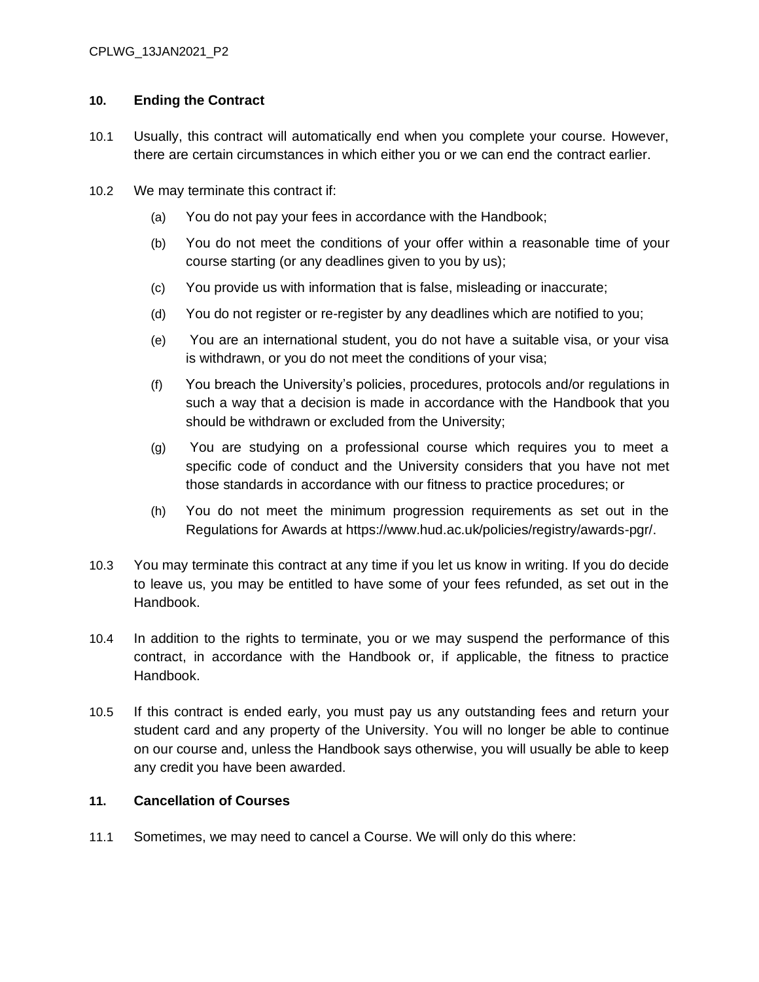### **10. Ending the Contract**

- 10.1 Usually, this contract will automatically end when you complete your course. However, there are certain circumstances in which either you or we can end the contract earlier.
- 10.2 We may terminate this contract if:
	- (a) You do not pay your fees in accordance with the Handbook;
	- (b) You do not meet the conditions of your offer within a reasonable time of your course starting (or any deadlines given to you by us);
	- (c) You provide us with information that is false, misleading or inaccurate;
	- (d) You do not register or re-register by any deadlines which are notified to you;
	- (e) You are an international student, you do not have a suitable visa, or your visa is withdrawn, or you do not meet the conditions of your visa;
	- (f) You breach the University's policies, procedures, protocols and/or regulations in such a way that a decision is made in accordance with the Handbook that you should be withdrawn or excluded from the University;
	- (g) You are studying on a professional course which requires you to meet a specific code of conduct and the University considers that you have not met those standards in accordance with our fitness to practice procedures; or
	- (h) You do not meet the minimum progression requirements as set out in the Regulations for Awards at https://www.hud.ac.uk/policies/registry/awards-pgr/.
- 10.3 You may terminate this contract at any time if you let us know in writing. If you do decide to leave us, you may be entitled to have some of your fees refunded, as set out in the Handbook.
- 10.4 In addition to the rights to terminate, you or we may suspend the performance of this contract, in accordance with the Handbook or, if applicable, the fitness to practice Handbook.
- 10.5 If this contract is ended early, you must pay us any outstanding fees and return your student card and any property of the University. You will no longer be able to continue on our course and, unless the Handbook says otherwise, you will usually be able to keep any credit you have been awarded.

### **11. Cancellation of Courses**

11.1 Sometimes, we may need to cancel a Course. We will only do this where: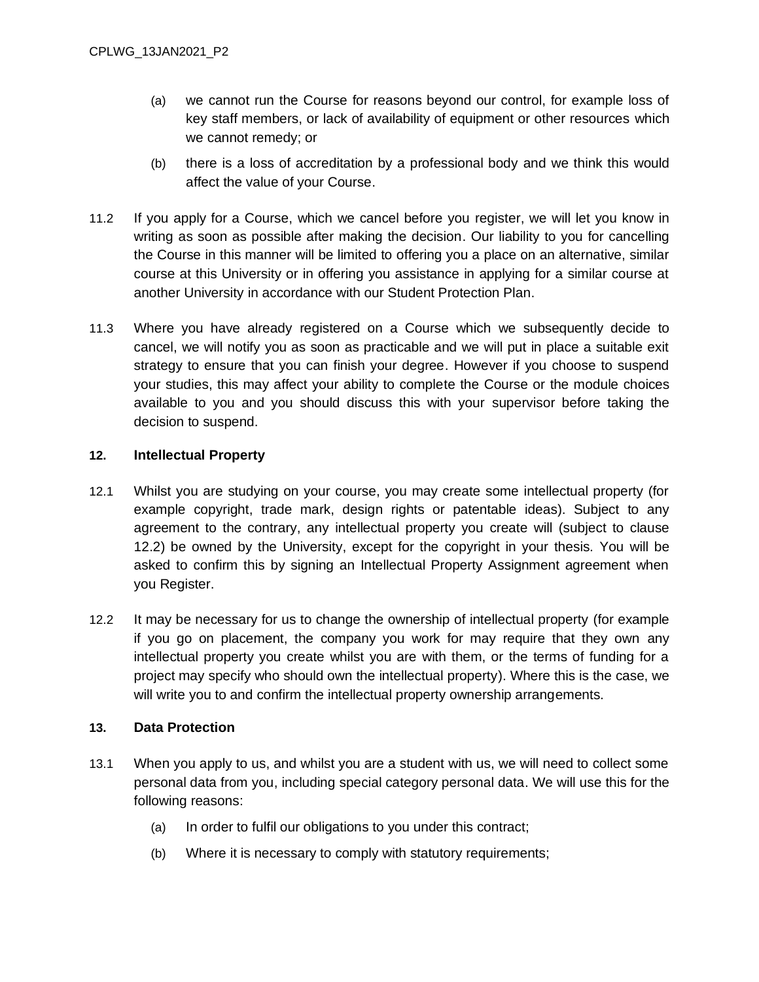- (a) we cannot run the Course for reasons beyond our control, for example loss of key staff members, or lack of availability of equipment or other resources which we cannot remedy; or
- (b) there is a loss of accreditation by a professional body and we think this would affect the value of your Course.
- 11.2 If you apply for a Course, which we cancel before you register, we will let you know in writing as soon as possible after making the decision. Our liability to you for cancelling the Course in this manner will be limited to offering you a place on an alternative, similar course at this University or in offering you assistance in applying for a similar course at another University in accordance with our Student Protection Plan.
- 11.3 Where you have already registered on a Course which we subsequently decide to cancel, we will notify you as soon as practicable and we will put in place a suitable exit strategy to ensure that you can finish your degree. However if you choose to suspend your studies, this may affect your ability to complete the Course or the module choices available to you and you should discuss this with your supervisor before taking the decision to suspend.

### **12. Intellectual Property**

- 12.1 Whilst you are studying on your course, you may create some intellectual property (for example copyright, trade mark, design rights or patentable ideas). Subject to any agreement to the contrary, any intellectual property you create will (subject to clause 12.2) be owned by the University, except for the copyright in your thesis. You will be asked to confirm this by signing an Intellectual Property Assignment agreement when you Register.
- 12.2 It may be necessary for us to change the ownership of intellectual property (for example if you go on placement, the company you work for may require that they own any intellectual property you create whilst you are with them, or the terms of funding for a project may specify who should own the intellectual property). Where this is the case, we will write you to and confirm the intellectual property ownership arrangements.

#### **13. Data Protection**

- 13.1 When you apply to us, and whilst you are a student with us, we will need to collect some personal data from you, including special category personal data. We will use this for the following reasons:
	- (a) In order to fulfil our obligations to you under this contract;
	- (b) Where it is necessary to comply with statutory requirements;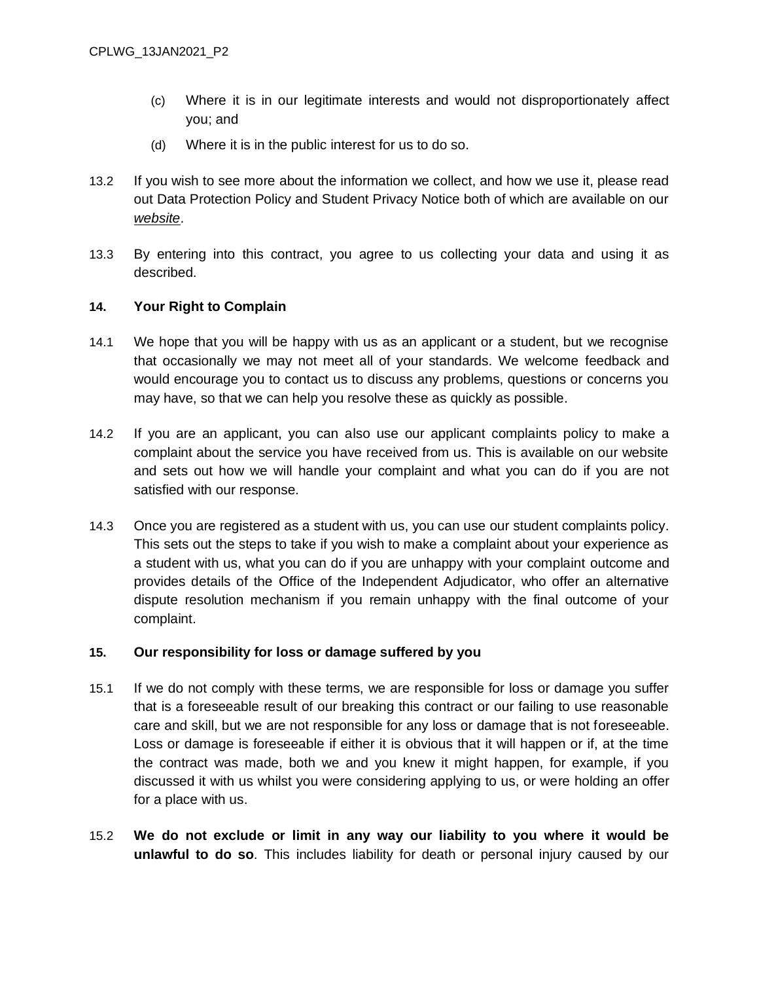- (c) Where it is in our legitimate interests and would not disproportionately affect you; and
- (d) Where it is in the public interest for us to do so.
- 13.2 If you wish to see more about the information we collect, and how we use it, please read out Data Protection Policy and Student Privacy Notice both of which are available on our *[website](https://www.hud.ac.uk/informationgovernance/dataprotection/)*.
- 13.3 By entering into this contract, you agree to us collecting your data and using it as described.

### **14. Your Right to Complain**

- 14.1 We hope that you will be happy with us as an applicant or a student, but we recognise that occasionally we may not meet all of your standards. We welcome feedback and would encourage you to contact us to discuss any problems, questions or concerns you may have, so that we can help you resolve these as quickly as possible.
- 14.2 If you are an applicant, you can also use our applicant complaints policy to make a complaint about the service you have received from us. This is available on our website and sets out how we will handle your complaint and what you can do if you are not satisfied with our response.
- 14.3 Once you are registered as a student with us, you can use our student complaints policy. This sets out the steps to take if you wish to make a complaint about your experience as a student with us, what you can do if you are unhappy with your complaint outcome and provides details of the Office of the Independent Adjudicator, who offer an alternative dispute resolution mechanism if you remain unhappy with the final outcome of your complaint.

#### **15. Our responsibility for loss or damage suffered by you**

- 15.1 If we do not comply with these terms, we are responsible for loss or damage you suffer that is a foreseeable result of our breaking this contract or our failing to use reasonable care and skill, but we are not responsible for any loss or damage that is not foreseeable. Loss or damage is foreseeable if either it is obvious that it will happen or if, at the time the contract was made, both we and you knew it might happen, for example, if you discussed it with us whilst you were considering applying to us, or were holding an offer for a place with us.
- 15.2 **We do not exclude or limit in any way our liability to you where it would be unlawful to do so**. This includes liability for death or personal injury caused by our